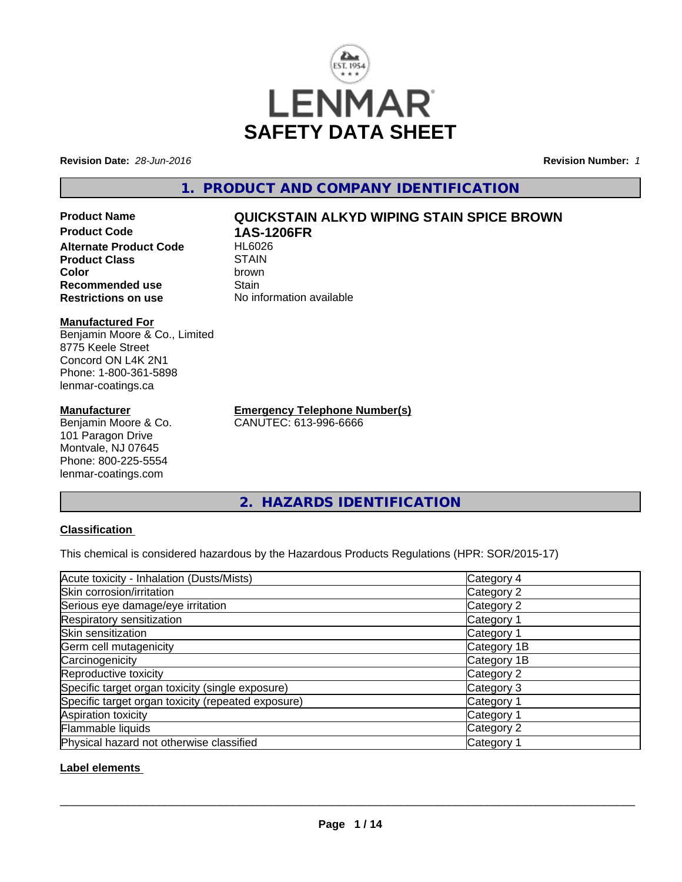

**Revision Date:** *28-Jun-2016* **Revision Number:** *1*

**1. PRODUCT AND COMPANY IDENTIFICATION**

**Product Name QUICKSTAIN ALKYD WIPING STAIN SPICE BROWN Product Code 1AS-1206FR Alternate Product Code Product Class** STAIN<br> **Color** brown **Color** brown **Recommended use Stain** 

#### **Manufactured For**

Benjamin Moore & Co., Limited 8775 Keele Street Concord ON L4K 2N1 Phone: 1-800-361-5898 lenmar-coatings.ca

#### **Manufacturer**

Benjamin Moore & Co. 101 Paragon Drive Montvale, NJ 07645 Phone: 800-225-5554 lenmar-coatings.com

**Restrictions on use** No information available

**Emergency Telephone Number(s)** CANUTEC: 613-996-6666

**2. HAZARDS IDENTIFICATION**

### **Classification**

This chemical is considered hazardous by the Hazardous Products Regulations (HPR: SOR/2015-17)

| Acute toxicity - Inhalation (Dusts/Mists)          | Category 4            |
|----------------------------------------------------|-----------------------|
| Skin corrosion/irritation                          | Category 2            |
| Serious eye damage/eye irritation                  | Category 2            |
| Respiratory sensitization                          | Category 1            |
| Skin sensitization                                 | Category 1            |
| Germ cell mutagenicity                             | Category 1B           |
| Carcinogenicity                                    | Category 1B           |
| Reproductive toxicity                              | Category 2            |
| Specific target organ toxicity (single exposure)   | Category 3            |
| Specific target organ toxicity (repeated exposure) | Category 1            |
| Aspiration toxicity                                | Category 1            |
| Flammable liquids                                  | Category 2            |
| Physical hazard not otherwise classified           | Category <sup>2</sup> |

### **Label elements**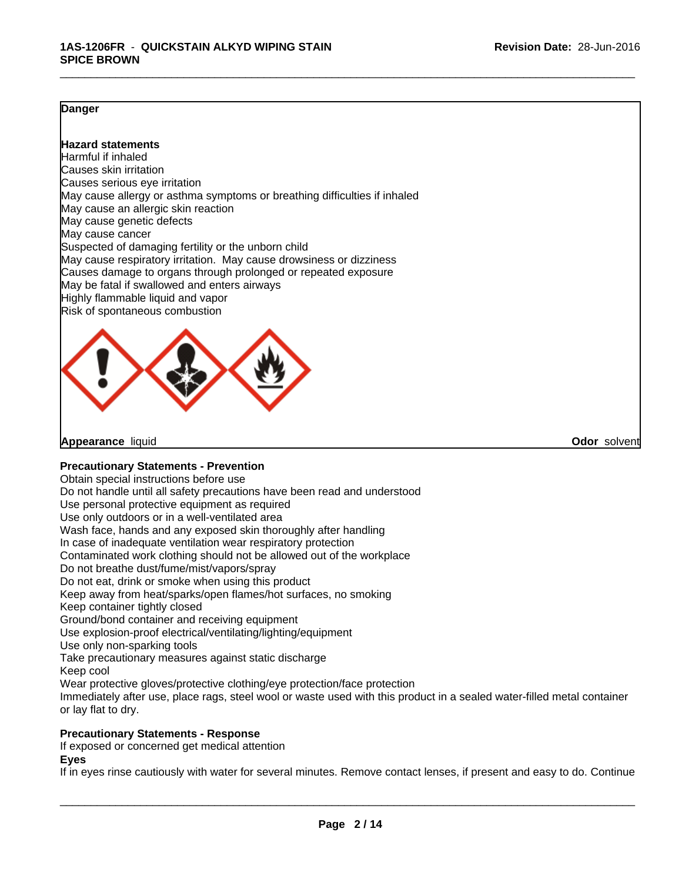### **Danger**

### **Hazard statements**

Harmful if inhaled Causes skin irritation Causes serious eye irritation May cause allergy or asthma symptoms or breathing difficulties if inhaled May cause an allergic skin reaction May cause genetic defects May cause cancer Suspected of damaging fertility or the unborn child May cause respiratory irritation. May cause drowsiness or dizziness Causes damage to organs through prolonged or repeated exposure May be fatal if swallowed and enters airways Highly flammable liquid and vapor Risk of spontaneous combustion



**Appearance** liquid **Odor** solvent

#### **Precautionary Statements - Prevention**

Obtain special instructions before use

Do not handle until all safety precautions have been read and understood

Use personal protective equipment as required

Use only outdoors or in a well-ventilated area

Wash face, hands and any exposed skin thoroughly after handling

In case of inadequate ventilation wear respiratory protection

Contaminated work clothing should not be allowed out of the workplace

Do not breathe dust/fume/mist/vapors/spray

Do not eat, drink or smoke when using this product

Keep away from heat/sparks/open flames/hot surfaces, no smoking

Keep container tightly closed

Ground/bond container and receiving equipment

Use explosion-proof electrical/ventilating/lighting/equipment

Use only non-sparking tools

Take precautionary measures against static discharge

Keep cool

Wear protective gloves/protective clothing/eye protection/face protection

Immediately after use, place rags, steel wool or waste used with this product in a sealed water-filled metal container or lay flat to dry.

#### **Precautionary Statements - Response**

If exposed or concerned get medical attention

#### **Eyes**

If in eyes rinse cautiously with water for several minutes. Remove contact lenses, if present and easy to do. Continue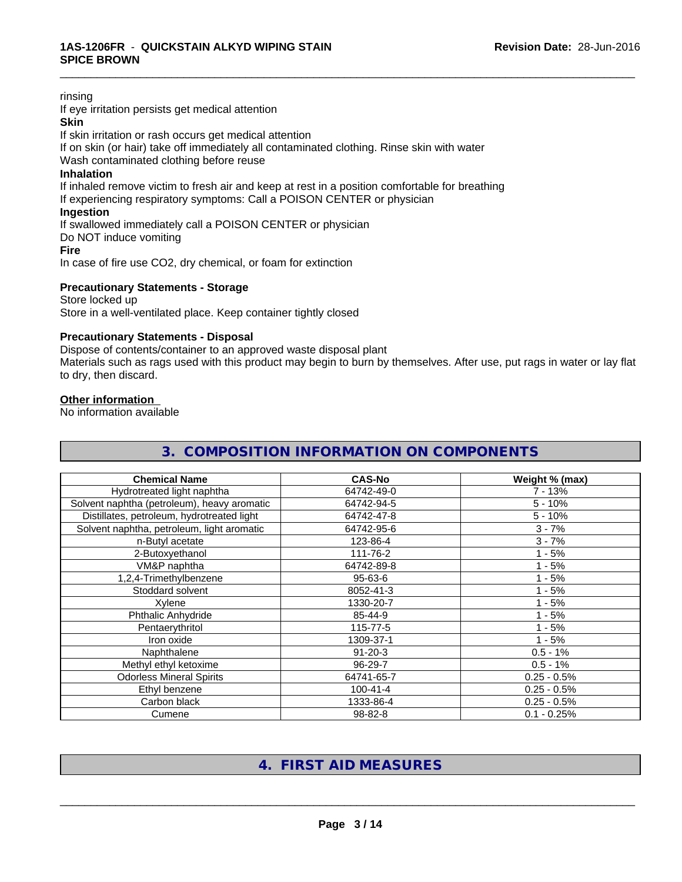#### rinsing

If eye irritation persists get medical attention

## **Skin**

If skin irritation or rash occurs get medical attention

If on skin (or hair) take off immediately all contaminated clothing. Rinse skin with water

Wash contaminated clothing before reuse

#### **Inhalation**

If inhaled remove victim to fresh air and keep at rest in a position comfortable for breathing If experiencing respiratory symptoms: Call a POISON CENTER or physician

#### **Ingestion**

If swallowed immediately call a POISON CENTER or physician

Do NOT induce vomiting

#### **Fire**

In case of fire use CO2, dry chemical, or foam for extinction

#### **Precautionary Statements - Storage**

#### Store locked up Store in a well-ventilated place. Keep container tightly closed

#### **Precautionary Statements - Disposal**

Dispose of contents/container to an approved waste disposal plant

Materials such as rags used with this product may begin to burn by themselves. After use, put rags in water or lay flat to dry, then discard.

\_\_\_\_\_\_\_\_\_\_\_\_\_\_\_\_\_\_\_\_\_\_\_\_\_\_\_\_\_\_\_\_\_\_\_\_\_\_\_\_\_\_\_\_\_\_\_\_\_\_\_\_\_\_\_\_\_\_\_\_\_\_\_\_\_\_\_\_\_\_\_\_\_\_\_\_\_\_\_\_\_\_\_\_\_\_\_\_\_\_\_\_\_

#### **Other information**

No information available

| 3. COMPOSITION INFORMATION ON COMPONENTS    |                |                |
|---------------------------------------------|----------------|----------------|
| <b>Chemical Name</b>                        | <b>CAS-No</b>  | Weight % (max) |
| Hydrotreated light naphtha                  | 64742-49-0     | $7 - 13%$      |
| Solvent naphtha (petroleum), heavy aromatic | 64742-94-5     | $5 - 10%$      |
| Distillates, petroleum, hydrotreated light  | 64742-47-8     | $5 - 10%$      |
| Solvent naphtha, petroleum, light aromatic  | 64742-95-6     | $3 - 7%$       |
| n-Butyl acetate                             | 123-86-4       | $3 - 7%$       |
| 2-Butoxyethanol                             | 111-76-2       | $1 - 5%$       |
| VM&P naphtha                                | 64742-89-8     | $1 - 5%$       |
| 1,2,4-Trimethylbenzene                      | $95 - 63 - 6$  | $1 - 5%$       |
| Stoddard solvent                            | 8052-41-3      | $1 - 5%$       |
| Xylene                                      | 1330-20-7      | $1 - 5%$       |
| Phthalic Anhydride                          | 85-44-9        | $1 - 5%$       |
| Pentaerythritol                             | 115-77-5       | $1 - 5%$       |
| Iron oxide                                  | 1309-37-1      | $1 - 5%$       |
| Naphthalene                                 | $91 - 20 - 3$  | $0.5 - 1%$     |
| Methyl ethyl ketoxime                       | 96-29-7        | $0.5 - 1%$     |
| <b>Odorless Mineral Spirits</b>             | 64741-65-7     | $0.25 - 0.5%$  |
| Ethyl benzene                               | $100 - 41 - 4$ | $0.25 - 0.5%$  |
| Carbon black                                | 1333-86-4      | $0.25 - 0.5%$  |
| Cumene                                      | 98-82-8        | $0.1 - 0.25%$  |

# **4. FIRST AID MEASURES**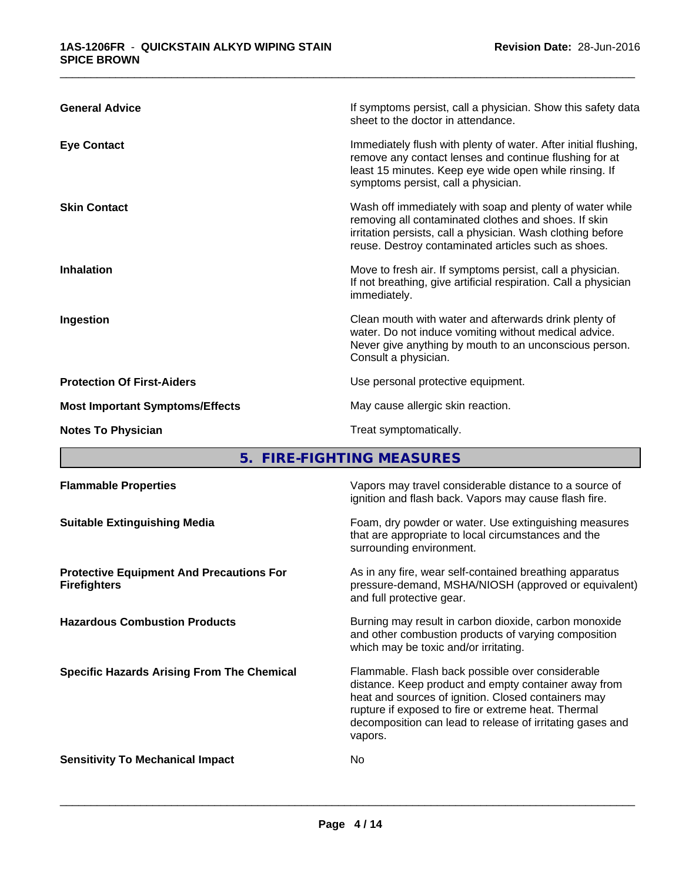| <b>General Advice</b>                  | If symptoms persist, call a physician. Show this safety data<br>sheet to the doctor in attendance.                                                                                                                                     |
|----------------------------------------|----------------------------------------------------------------------------------------------------------------------------------------------------------------------------------------------------------------------------------------|
| <b>Eye Contact</b>                     | Immediately flush with plenty of water. After initial flushing,<br>remove any contact lenses and continue flushing for at<br>least 15 minutes. Keep eye wide open while rinsing. If<br>symptoms persist, call a physician.             |
| <b>Skin Contact</b>                    | Wash off immediately with soap and plenty of water while<br>removing all contaminated clothes and shoes. If skin<br>irritation persists, call a physician. Wash clothing before<br>reuse. Destroy contaminated articles such as shoes. |
| <b>Inhalation</b>                      | Move to fresh air. If symptoms persist, call a physician.<br>If not breathing, give artificial respiration. Call a physician<br>immediately.                                                                                           |
| Ingestion                              | Clean mouth with water and afterwards drink plenty of<br>water. Do not induce vomiting without medical advice.<br>Never give anything by mouth to an unconscious person.<br>Consult a physician.                                       |
| <b>Protection Of First-Aiders</b>      | Use personal protective equipment.                                                                                                                                                                                                     |
| <b>Most Important Symptoms/Effects</b> | May cause allergic skin reaction.                                                                                                                                                                                                      |
| <b>Notes To Physician</b>              | Treat symptomatically.                                                                                                                                                                                                                 |
|                                        |                                                                                                                                                                                                                                        |

**5. FIRE-FIGHTING MEASURES**

| <b>Flammable Properties</b>                                            | Vapors may travel considerable distance to a source of<br>ignition and flash back. Vapors may cause flash fire.                                                                                                                                                                                |
|------------------------------------------------------------------------|------------------------------------------------------------------------------------------------------------------------------------------------------------------------------------------------------------------------------------------------------------------------------------------------|
| <b>Suitable Extinguishing Media</b>                                    | Foam, dry powder or water. Use extinguishing measures<br>that are appropriate to local circumstances and the<br>surrounding environment.                                                                                                                                                       |
| <b>Protective Equipment And Precautions For</b><br><b>Firefighters</b> | As in any fire, wear self-contained breathing apparatus<br>pressure-demand, MSHA/NIOSH (approved or equivalent)<br>and full protective gear.                                                                                                                                                   |
| <b>Hazardous Combustion Products</b>                                   | Burning may result in carbon dioxide, carbon monoxide<br>and other combustion products of varying composition<br>which may be toxic and/or irritating.                                                                                                                                         |
| <b>Specific Hazards Arising From The Chemical</b>                      | Flammable. Flash back possible over considerable<br>distance. Keep product and empty container away from<br>heat and sources of ignition. Closed containers may<br>rupture if exposed to fire or extreme heat. Thermal<br>decomposition can lead to release of irritating gases and<br>vapors. |
| <b>Sensitivity To Mechanical Impact</b>                                | No                                                                                                                                                                                                                                                                                             |
|                                                                        |                                                                                                                                                                                                                                                                                                |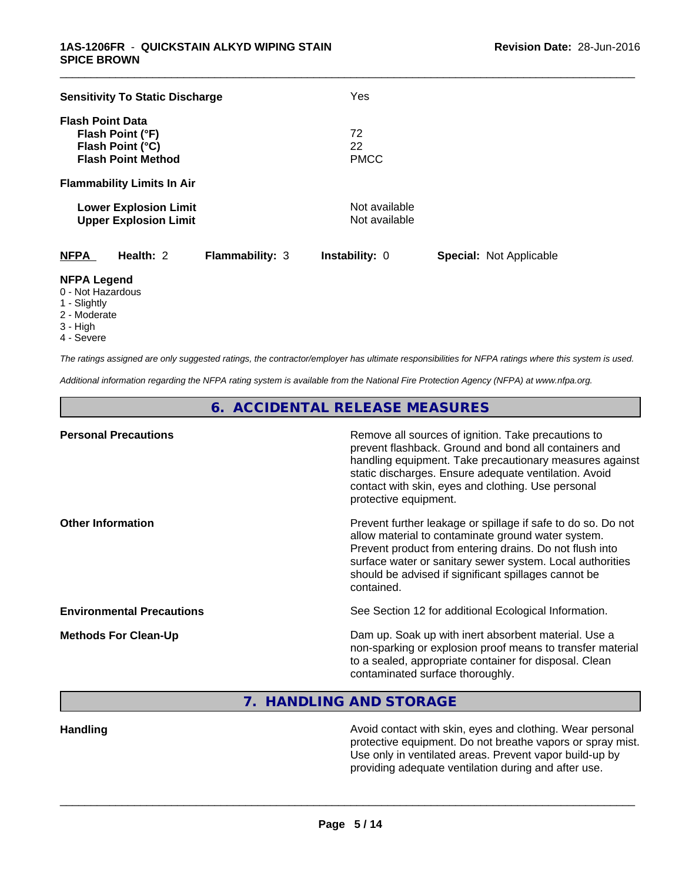| <b>Sensitivity To Static Discharge</b>                                                       | Yes                            |                                |  |
|----------------------------------------------------------------------------------------------|--------------------------------|--------------------------------|--|
| <b>Flash Point Data</b><br>Flash Point (°F)<br>Flash Point (°C)<br><b>Flash Point Method</b> | 72<br>22<br><b>PMCC</b>        |                                |  |
| <b>Flammability Limits In Air</b>                                                            |                                |                                |  |
| <b>Lower Explosion Limit</b><br><b>Upper Explosion Limit</b>                                 | Not available<br>Not available |                                |  |
| <b>NFPA</b><br>Health: 2<br><b>Flammability: 3</b>                                           | <b>Instability: 0</b>          | <b>Special: Not Applicable</b> |  |
| <b>NFPA Legend</b>                                                                           |                                |                                |  |

- 0 Not Hazardous
- 1 Slightly
- 2 Moderate
- 3 High
- 4 Severe

*The ratings assigned are only suggested ratings, the contractor/employer has ultimate responsibilities for NFPA ratings where this system is used.*

*Additional information regarding the NFPA rating system is available from the National Fire Protection Agency (NFPA) at www.nfpa.org.*

**6. ACCIDENTAL RELEASE MEASURES**

| <b>Personal Precautions</b>      | Remove all sources of ignition. Take precautions to<br>prevent flashback. Ground and bond all containers and<br>handling equipment. Take precautionary measures against<br>static discharges. Ensure adequate ventilation. Avoid<br>contact with skin, eyes and clothing. Use personal<br>protective equipment.  |
|----------------------------------|------------------------------------------------------------------------------------------------------------------------------------------------------------------------------------------------------------------------------------------------------------------------------------------------------------------|
| <b>Other Information</b>         | Prevent further leakage or spillage if safe to do so. Do not<br>allow material to contaminate ground water system.<br>Prevent product from entering drains. Do not flush into<br>surface water or sanitary sewer system. Local authorities<br>should be advised if significant spillages cannot be<br>contained. |
| <b>Environmental Precautions</b> | See Section 12 for additional Ecological Information.                                                                                                                                                                                                                                                            |
| <b>Methods For Clean-Up</b>      | Dam up. Soak up with inert absorbent material. Use a<br>non-sparking or explosion proof means to transfer material<br>to a sealed, appropriate container for disposal. Clean<br>contaminated surface thoroughly.                                                                                                 |

**7. HANDLING AND STORAGE**

**Handling Handling Avoid contact with skin, eyes and clothing. Wear personal and <b>Handling Handling Mexican** protective equipment. Do not breathe vapors or spray mist. Use only in ventilated areas. Prevent vapor build-up by providing adequate ventilation during and after use.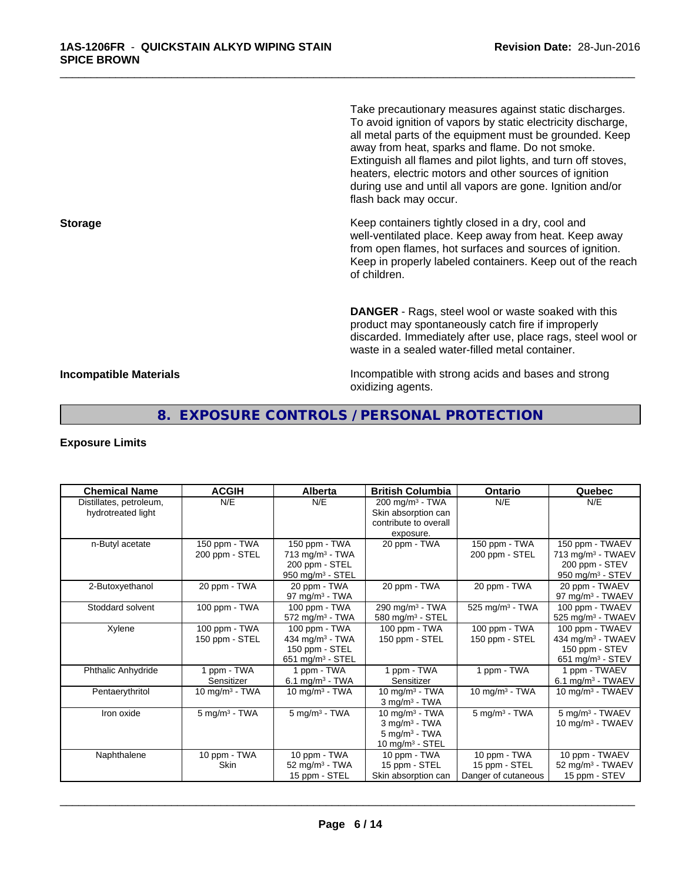Take precautionary measures against static discharges. To avoid ignition of vapors by static electricity discharge, all metal parts of the equipment must be grounded. Keep away from heat, sparks and flame. Do not smoke. Extinguish all flames and pilot lights, and turn off stoves, heaters, electric motors and other sources of ignition during use and until all vapors are gone. Ignition and/or flash back may occur.

\_\_\_\_\_\_\_\_\_\_\_\_\_\_\_\_\_\_\_\_\_\_\_\_\_\_\_\_\_\_\_\_\_\_\_\_\_\_\_\_\_\_\_\_\_\_\_\_\_\_\_\_\_\_\_\_\_\_\_\_\_\_\_\_\_\_\_\_\_\_\_\_\_\_\_\_\_\_\_\_\_\_\_\_\_\_\_\_\_\_\_\_\_

**Storage Keep containers tightly closed in a dry, cool and get a dry and storage Keep containers tightly closed in a dry, cool and** well-ventilated place. Keep away from heat. Keep away from open flames, hot surfaces and sources of ignition. Keep in properly labeled containers. Keep out of the reach of children.

> **DANGER** - Rags, steel wool or waste soaked with this product may spontaneously catch fire if improperly discarded. Immediately after use, place rags, steel wool or waste in a sealed water-filled metal container.

**Incompatible Materials Incompatible with strong acids and bases and strong** oxidizing agents.

# **8. EXPOSURE CONTROLS / PERSONAL PROTECTION**

#### **Exposure Limits**

| <b>Chemical Name</b>                          | <b>ACGIH</b>                    | <b>Alberta</b>                                                                            | <b>British Columbia</b>                                                                   | Ontario                                              | Quebec                                                                                    |
|-----------------------------------------------|---------------------------------|-------------------------------------------------------------------------------------------|-------------------------------------------------------------------------------------------|------------------------------------------------------|-------------------------------------------------------------------------------------------|
| Distillates, petroleum,<br>hydrotreated light | N/E                             | N/E                                                                                       | $200$ mg/m <sup>3</sup> - TWA<br>Skin absorption can<br>contribute to overall             | N/E                                                  | N/E                                                                                       |
|                                               |                                 |                                                                                           | exposure.                                                                                 |                                                      |                                                                                           |
| n-Butyl acetate                               | 150 ppm - TWA<br>200 ppm - STEL | 150 ppm - TWA<br>$713$ mg/m <sup>3</sup> - TWA<br>200 ppm - STEL<br>$950$ mg/m $3 -$ STEL | 20 ppm - TWA                                                                              | 150 ppm - TWA<br>200 ppm - STEL                      | 150 ppm - TWAEV<br>713 mg/m <sup>3</sup> - TWAEV<br>200 ppm - STEV<br>950 mg/m $3 -$ STEV |
| 2-Butoxyethanol                               | 20 ppm - TWA                    | 20 ppm - TWA<br>97 mg/m $3$ - TWA                                                         | 20 ppm - TWA                                                                              | 20 ppm - TWA                                         | 20 ppm - TWAEV<br>97 mg/m <sup>3</sup> - TWAEV                                            |
| Stoddard solvent                              | 100 ppm - TWA                   | 100 ppm - TWA<br>$572$ mg/m <sup>3</sup> - TWA                                            | 290 mg/m <sup>3</sup> - TWA<br>580 mg/m <sup>3</sup> - STEL                               | 525 mg/m <sup>3</sup> - TWA                          | 100 ppm - TWAEV<br>525 mg/m <sup>3</sup> - TWAEV                                          |
| Xylene                                        | 100 ppm - TWA<br>150 ppm - STEL | 100 ppm - TWA<br>434 mg/m <sup>3</sup> - TWA<br>150 ppm - STEL<br>651 mg/m $3 -$ STEL     | 100 ppm - TWA<br>150 ppm - STEL                                                           | 100 ppm - TWA<br>150 ppm - STEL                      | 100 ppm - TWAEV<br>434 mg/m <sup>3</sup> - TWAEV<br>150 ppm - STEV<br>651 mg/m $3 -$ STEV |
| <b>Phthalic Anhydride</b>                     | 1 ppm - TWA<br>Sensitizer       | 1 ppm - TWA<br>6.1 mg/m <sup>3</sup> - TWA                                                | 1 ppm - TWA<br>Sensitizer                                                                 | 1 ppm - TWA                                          | I ppm - TWAEV<br>$6.1$ mg/m <sup>3</sup> - TWAEV                                          |
| Pentaerythritol                               | 10 mg/m $3$ - TWA               | 10 mg/m $3$ - TWA                                                                         | 10 mg/m $3$ - TWA<br>$3$ mg/m <sup>3</sup> - TWA                                          | 10 mg/m $3$ - TWA                                    | 10 mg/m $3$ - TWAEV                                                                       |
| Iron oxide                                    | $5$ mg/m $3$ - TWA              | $5$ mg/m $3$ - TWA                                                                        | 10 mg/m $3$ - TWA<br>$3$ mg/m $3$ - TWA<br>$5 \text{ mg/m}^3$ - TWA<br>10 mg/m $3 -$ STEL | $5$ mg/m $3$ - TWA                                   | 5 mg/m <sup>3</sup> - TWAEV<br>10 mg/m $3$ - TWAEV                                        |
| Naphthalene                                   | 10 ppm - TWA<br>Skin            | 10 ppm - TWA<br>52 mg/m <sup>3</sup> - TWA<br>15 ppm - STEL                               | 10 ppm - TWA<br>15 ppm - STEL<br>Skin absorption can                                      | 10 ppm - TWA<br>15 ppm - STEL<br>Danger of cutaneous | 10 ppm - TWAEV<br>52 mg/m <sup>3</sup> - TWAEV<br>15 ppm - STEV                           |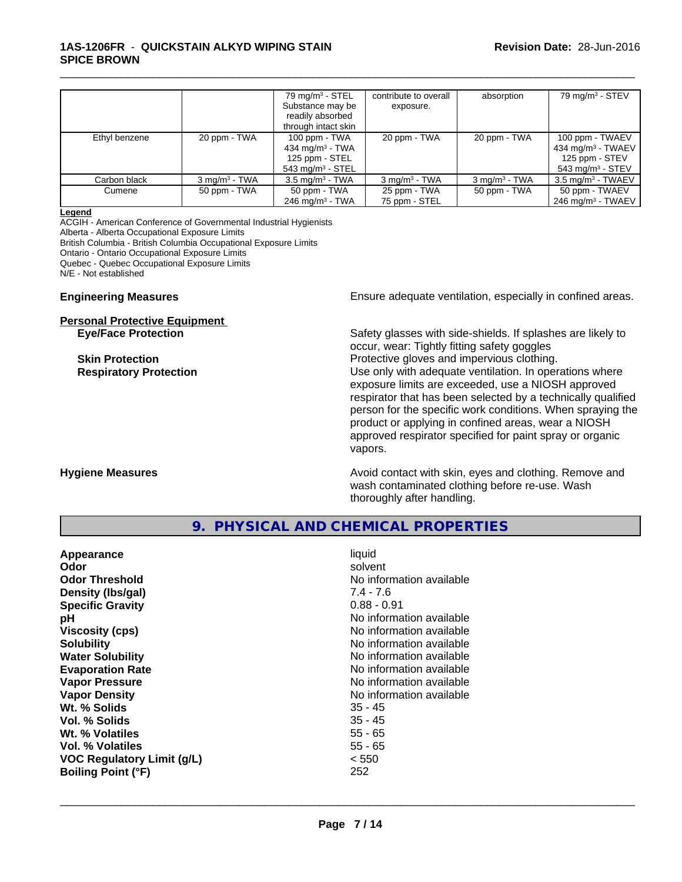#### **1AS-1206FR** - **QUICKSTAIN ALKYD WIPING STAIN SPICE BROWN**

|               |                          | $79 \text{ mg/m}^3$ - STEL<br>Substance may be<br>readily absorbed<br>through intact skin | contribute to overall<br>exposure. | absorption               | $79$ mg/m $3 -$ STEV                                                                                |
|---------------|--------------------------|-------------------------------------------------------------------------------------------|------------------------------------|--------------------------|-----------------------------------------------------------------------------------------------------|
| Ethyl benzene | 20 ppm - TWA             | 100 ppm - TWA<br>434 mg/m $3$ - TWA<br>125 ppm - STEL<br>$543$ mg/m <sup>3</sup> - STEL   | 20 ppm - TWA                       | 20 ppm - TWA             | 100 ppm - TWAEV<br>$434$ mg/m <sup>3</sup> - TWAEV<br>125 ppm - STEV<br>$543 \text{ mg/m}^3$ - STEV |
| Carbon black  | $3 \text{ ma/m}^3$ - TWA | $3.5 \text{ mg/m}^3$ - TWA                                                                | $3 \text{ mq/m}^3$ - TWA           | $3 \text{ mg/m}^3$ - TWA | $3.5 \text{ mg/m}^3$ - TWAEV                                                                        |
| Cumene        | 50 ppm - TWA             | 50 ppm - TWA<br>$246$ mg/m <sup>3</sup> - TWA                                             | 25 ppm - TWA<br>75 ppm - STEL      | 50 ppm - TWA             | 50 ppm - TWAEV<br>$246$ mg/m <sup>3</sup> - TWAEV                                                   |

\_\_\_\_\_\_\_\_\_\_\_\_\_\_\_\_\_\_\_\_\_\_\_\_\_\_\_\_\_\_\_\_\_\_\_\_\_\_\_\_\_\_\_\_\_\_\_\_\_\_\_\_\_\_\_\_\_\_\_\_\_\_\_\_\_\_\_\_\_\_\_\_\_\_\_\_\_\_\_\_\_\_\_\_\_\_\_\_\_\_\_\_\_

#### **Legend**

ACGIH - American Conference of Governmental Industrial Hygienists Alberta - Alberta Occupational Exposure Limits British Columbia - British Columbia Occupational Exposure Limits Ontario - Ontario Occupational Exposure Limits Quebec - Quebec Occupational Exposure Limits N/E - Not established

# **Personal Protective Equipment**

**Engineering Measures Ensure** Ensure adequate ventilation, especially in confined areas.

**Eye/Face Protection** Safety glasses with side-shields. If splashes are likely to occur, wear: Tightly fitting safety goggles **Skin Protection Protection Protective gloves and impervious clothing. Respiratory Protection Number 1** (Use only with adequate ventilation. In operations where exposure limits are exceeded, use a NIOSH approved respirator that has been selected by a technically qualified person for the specific work conditions. When spraying the product or applying in confined areas, wear a NIOSH approved respirator specified for paint spray or organic vapors.

**Hygiene Measures Avoid contact with skin, eyes and clothing. Remove and Hygiene Measures Avoid contact with skin, eyes and clothing. Remove and** wash contaminated clothing before re-use. Wash thoroughly after handling.

# **9. PHYSICAL AND CHEMICAL PROPERTIES**

| Appearance                        | liquid                   |
|-----------------------------------|--------------------------|
| Odor                              | solvent                  |
| <b>Odor Threshold</b>             | No information available |
| Density (Ibs/gal)                 | $7.4 - 7.6$              |
| <b>Specific Gravity</b>           | $0.88 - 0.91$            |
| рH                                | No information available |
| <b>Viscosity (cps)</b>            | No information available |
| <b>Solubility</b>                 | No information available |
| <b>Water Solubility</b>           | No information available |
| <b>Evaporation Rate</b>           | No information available |
| <b>Vapor Pressure</b>             | No information available |
| <b>Vapor Density</b>              | No information available |
| Wt. % Solids                      | $35 - 45$                |
| Vol. % Solids                     | $35 - 45$                |
| Wt. % Volatiles                   | $55 - 65$                |
| Vol. % Volatiles                  | $55 - 65$                |
| <b>VOC Regulatory Limit (g/L)</b> | < 550                    |
| <b>Boiling Point (°F)</b>         | 252                      |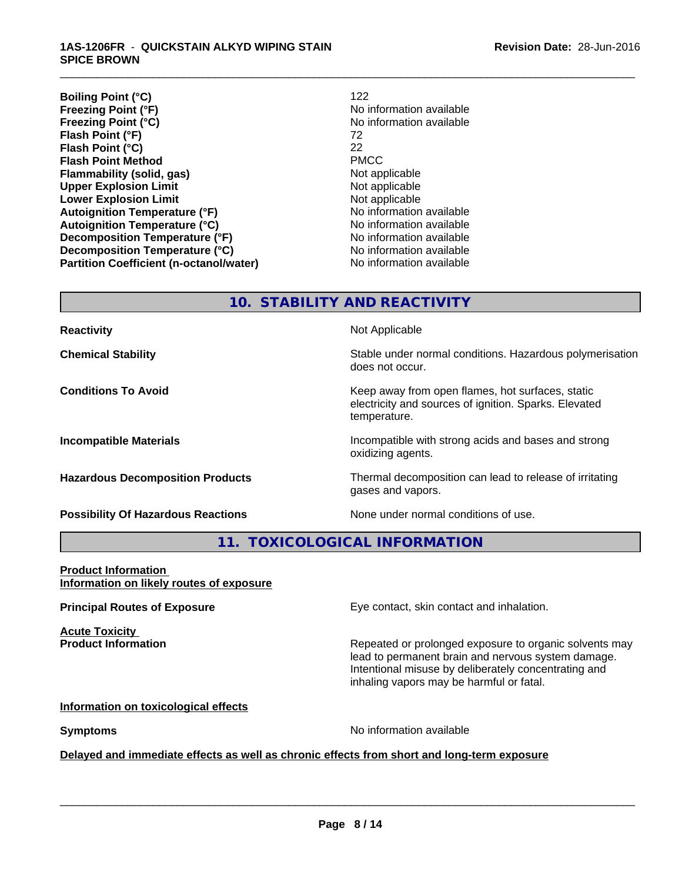**Boiling Point (°C)** 122 **Freezing Point (°F)**<br>**Freezing Point (°C) Flash Point (°F)** 72 **Flash Point (°C)** 22<br> **Flash Point Method** 22<br> **PMCC Flash Point Method Flammability (solid, gas)**<br> **Contrary Controller Upper Explosion Limit Algebra 2013** Not applicable **Upper Explosion Limit**<br> **Lower Explosion Limit**<br> **Lower Explosion Limit Lower Explosion Limit Autoignition Temperature (°F)** No information available **Autoignition Temperature (°C)** No information available **Decomposition Temperature (°F)** No information available **Decomposition Temperature (°C)**<br> **Partition Coefficient (n-octanol/water)** No information available **Partition Coefficient (n-octanol/water)** 

**Freezing Point (°C)** No information available

\_\_\_\_\_\_\_\_\_\_\_\_\_\_\_\_\_\_\_\_\_\_\_\_\_\_\_\_\_\_\_\_\_\_\_\_\_\_\_\_\_\_\_\_\_\_\_\_\_\_\_\_\_\_\_\_\_\_\_\_\_\_\_\_\_\_\_\_\_\_\_\_\_\_\_\_\_\_\_\_\_\_\_\_\_\_\_\_\_\_\_\_\_

**10. STABILITY AND REACTIVITY**

| <b>Reactivity</b>                         | Not Applicable                                                                                                            |
|-------------------------------------------|---------------------------------------------------------------------------------------------------------------------------|
| <b>Chemical Stability</b>                 | Stable under normal conditions. Hazardous polymerisation<br>does not occur.                                               |
| <b>Conditions To Avoid</b>                | Keep away from open flames, hot surfaces, static<br>electricity and sources of ignition. Sparks. Elevated<br>temperature. |
| <b>Incompatible Materials</b>             | Incompatible with strong acids and bases and strong<br>oxidizing agents.                                                  |
| <b>Hazardous Decomposition Products</b>   | Thermal decomposition can lead to release of irritating<br>gases and vapors.                                              |
| <b>Possibility Of Hazardous Reactions</b> | None under normal conditions of use.                                                                                      |

**11. TOXICOLOGICAL INFORMATION**

#### **Product Information Information on likely routes of exposure**

**Acute Toxicity** 

**Principal Routes of Exposure Exposure** Eye contact, skin contact and inhalation.

**Product Information Repeated or prolonged exposure to organic solvents may** lead to permanent brain and nervous system damage. Intentional misuse by deliberately concentrating and inhaling vapors may be harmful or fatal.

#### **Information on toxicological effects**

**Symptoms** No information available

 $\overline{\phantom{a}}$  ,  $\overline{\phantom{a}}$  ,  $\overline{\phantom{a}}$  ,  $\overline{\phantom{a}}$  ,  $\overline{\phantom{a}}$  ,  $\overline{\phantom{a}}$  ,  $\overline{\phantom{a}}$  ,  $\overline{\phantom{a}}$  ,  $\overline{\phantom{a}}$  ,  $\overline{\phantom{a}}$  ,  $\overline{\phantom{a}}$  ,  $\overline{\phantom{a}}$  ,  $\overline{\phantom{a}}$  ,  $\overline{\phantom{a}}$  ,  $\overline{\phantom{a}}$  ,  $\overline{\phantom{a}}$ 

#### **Delayed and immediate effects as well as chronic effects from short and long-term exposure**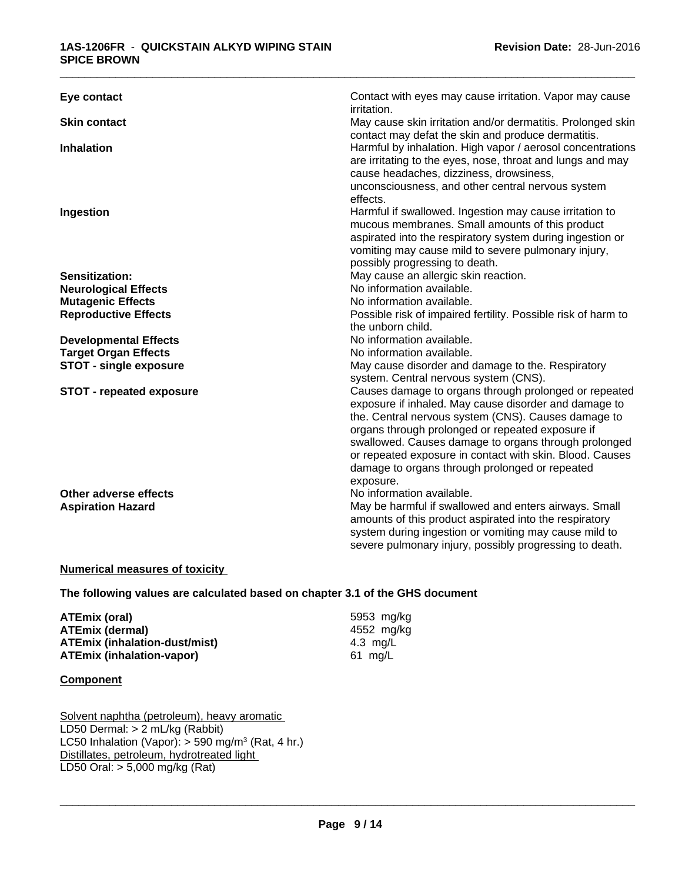| Eye contact                                       | Contact with eyes may cause irritation. Vapor may cause<br>irritation.                                                                                                                                                                                                                                                                                                                                       |
|---------------------------------------------------|--------------------------------------------------------------------------------------------------------------------------------------------------------------------------------------------------------------------------------------------------------------------------------------------------------------------------------------------------------------------------------------------------------------|
| <b>Skin contact</b>                               | May cause skin irritation and/or dermatitis. Prolonged skin<br>contact may defat the skin and produce dermatitis.                                                                                                                                                                                                                                                                                            |
| <b>Inhalation</b>                                 | Harmful by inhalation. High vapor / aerosol concentrations<br>are irritating to the eyes, nose, throat and lungs and may<br>cause headaches, dizziness, drowsiness,<br>unconsciousness, and other central nervous system                                                                                                                                                                                     |
| Ingestion                                         | effects.<br>Harmful if swallowed. Ingestion may cause irritation to<br>mucous membranes. Small amounts of this product<br>aspirated into the respiratory system during ingestion or<br>vomiting may cause mild to severe pulmonary injury,<br>possibly progressing to death.                                                                                                                                 |
| <b>Sensitization:</b>                             | May cause an allergic skin reaction.                                                                                                                                                                                                                                                                                                                                                                         |
| <b>Neurological Effects</b>                       | No information available.                                                                                                                                                                                                                                                                                                                                                                                    |
| <b>Mutagenic Effects</b>                          | No information available.                                                                                                                                                                                                                                                                                                                                                                                    |
| <b>Reproductive Effects</b>                       | Possible risk of impaired fertility. Possible risk of harm to<br>the unborn child.                                                                                                                                                                                                                                                                                                                           |
| <b>Developmental Effects</b>                      | No information available.                                                                                                                                                                                                                                                                                                                                                                                    |
| <b>Target Organ Effects</b>                       | No information available.                                                                                                                                                                                                                                                                                                                                                                                    |
| <b>STOT - single exposure</b>                     | May cause disorder and damage to the. Respiratory<br>system. Central nervous system (CNS).                                                                                                                                                                                                                                                                                                                   |
| <b>STOT - repeated exposure</b>                   | Causes damage to organs through prolonged or repeated<br>exposure if inhaled. May cause disorder and damage to<br>the. Central nervous system (CNS). Causes damage to<br>organs through prolonged or repeated exposure if<br>swallowed. Causes damage to organs through prolonged<br>or repeated exposure in contact with skin. Blood. Causes<br>damage to organs through prolonged or repeated<br>exposure. |
| Other adverse effects<br><b>Aspiration Hazard</b> | No information available.<br>May be harmful if swallowed and enters airways. Small<br>amounts of this product aspirated into the respiratory<br>system during ingestion or vomiting may cause mild to<br>severe pulmonary injury, possibly progressing to death.                                                                                                                                             |

### **Numerical measures of toxicity**

**The following values are calculated based on chapter 3.1 of the GHS document**

**ATEmix (oral)** 5953 mg/kg **ATEmix (dermal)** 4552 mg/kg<br> **ATEmix (inhalation-dust/mist)** 4.3 mg/L **ATEmix (inhalation-dust/mist)** 4.3 mg/L **ATEmix** (inhalation-vapor)

 $\overline{\phantom{a}}$  ,  $\overline{\phantom{a}}$  ,  $\overline{\phantom{a}}$  ,  $\overline{\phantom{a}}$  ,  $\overline{\phantom{a}}$  ,  $\overline{\phantom{a}}$  ,  $\overline{\phantom{a}}$  ,  $\overline{\phantom{a}}$  ,  $\overline{\phantom{a}}$  ,  $\overline{\phantom{a}}$  ,  $\overline{\phantom{a}}$  ,  $\overline{\phantom{a}}$  ,  $\overline{\phantom{a}}$  ,  $\overline{\phantom{a}}$  ,  $\overline{\phantom{a}}$  ,  $\overline{\phantom{a}}$ 

#### **Component**

Solvent naphtha (petroleum), heavy aromatic LD50 Dermal: > 2 mL/kg (Rabbit) LC50 Inhalation (Vapor): > 590 mg/m<sup>3</sup> (Rat, 4 hr.) Distillates, petroleum, hydrotreated light LD50 Oral: > 5,000 mg/kg (Rat)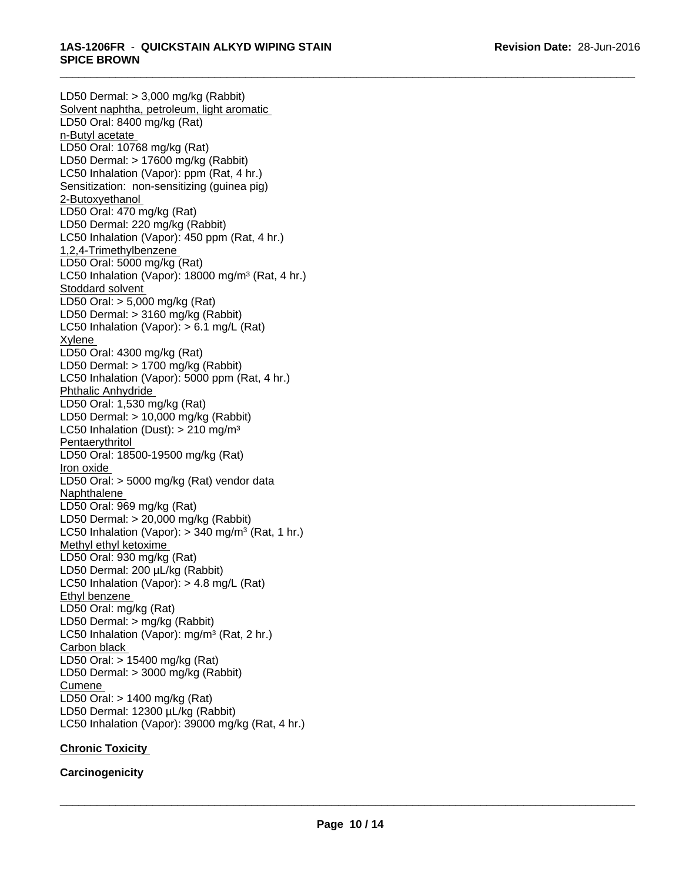LD50 Dermal: > 3,000 mg/kg (Rabbit) Solvent naphtha, petroleum, light aromatic LD50 Oral: 8400 mg/kg (Rat) n-Butyl acetate LD50 Oral: 10768 mg/kg (Rat) LD50 Dermal: > 17600 mg/kg (Rabbit) LC50 Inhalation (Vapor): ppm (Rat, 4 hr.) Sensitization: non-sensitizing (guinea pig) 2-Butoxyethanol LD50 Oral: 470 mg/kg (Rat) LD50 Dermal: 220 mg/kg (Rabbit) LC50 Inhalation (Vapor): 450 ppm (Rat, 4 hr.) 1,2,4-Trimethylbenzene LD50 Oral: 5000 mg/kg (Rat) LC50 Inhalation (Vapor): 18000 mg/m<sup>3</sup> (Rat, 4 hr.) Stoddard solvent LD50 Oral: > 5,000 mg/kg (Rat) LD50 Dermal: > 3160 mg/kg (Rabbit) LC50 Inhalation (Vapor): > 6.1 mg/L (Rat) Xylene LD50 Oral: 4300 mg/kg (Rat) LD50 Dermal: > 1700 mg/kg (Rabbit) LC50 Inhalation (Vapor): 5000 ppm (Rat, 4 hr.) Phthalic Anhydride LD50 Oral: 1,530 mg/kg (Rat) LD50 Dermal: > 10,000 mg/kg (Rabbit) LC50 Inhalation (Dust): > 210 mg/m<sup>3</sup> Pentaerythritol LD50 Oral: 18500-19500 mg/kg (Rat) Iron oxide LD50 Oral: > 5000 mg/kg (Rat) vendor data Naphthalene LD50 Oral: 969 mg/kg (Rat) LD50 Dermal: > 20,000 mg/kg (Rabbit) LC50 Inhalation (Vapor): > 340 mg/m<sup>3</sup> (Rat, 1 hr.) Methyl ethyl ketoxime LD50 Oral: 930 mg/kg (Rat) LD50 Dermal: 200 µL/kg (Rabbit) LC50 Inhalation (Vapor): > 4.8 mg/L (Rat) Ethyl benzene LD50 Oral: mg/kg (Rat) LD50 Dermal: > mg/kg (Rabbit) LC50 Inhalation (Vapor): mg/m<sup>3</sup> (Rat, 2 hr.) Carbon black LD50 Oral: > 15400 mg/kg (Rat) LD50 Dermal: > 3000 mg/kg (Rabbit) **Cumene** LD50 Oral: > 1400 mg/kg (Rat) LD50 Dermal: 12300 µL/kg (Rabbit) LC50 Inhalation (Vapor): 39000 mg/kg (Rat, 4 hr.)

# **Chronic Toxicity**

**Carcinogenicity**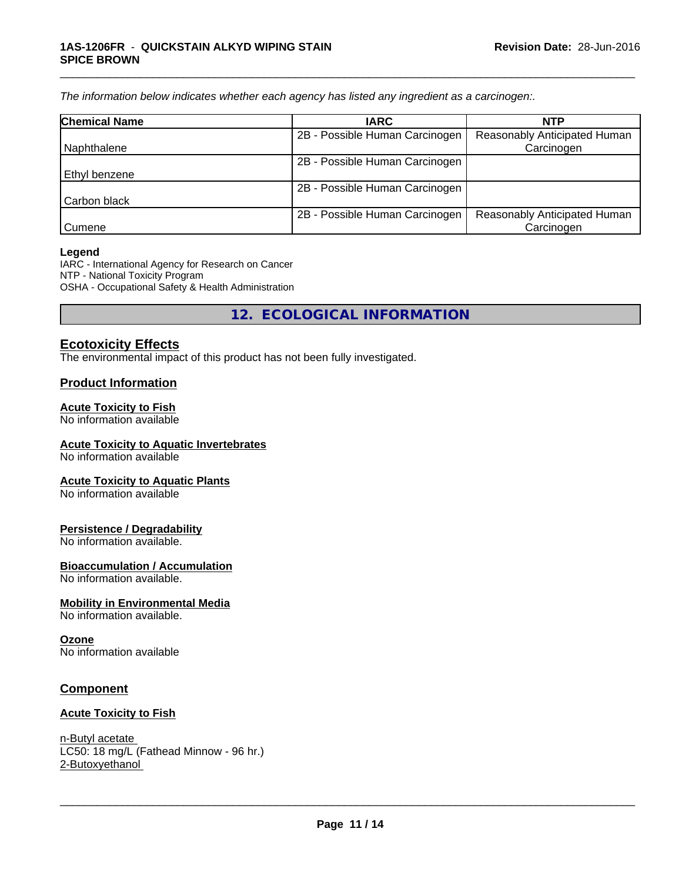*The information below indicateswhether each agency has listed any ingredient as a carcinogen:.*

| <b>Chemical Name</b> | <b>IARC</b>                    | <b>NTP</b>                          |  |
|----------------------|--------------------------------|-------------------------------------|--|
|                      | 2B - Possible Human Carcinogen | <b>Reasonably Anticipated Human</b> |  |
| l Naphthalene        |                                | Carcinogen                          |  |
|                      | 2B - Possible Human Carcinogen |                                     |  |
| Ethyl benzene        |                                |                                     |  |
|                      | 2B - Possible Human Carcinogen |                                     |  |
| Carbon black         |                                |                                     |  |
|                      | 2B - Possible Human Carcinogen | Reasonably Anticipated Human        |  |
| l Cumene             |                                | Carcinogen                          |  |

\_\_\_\_\_\_\_\_\_\_\_\_\_\_\_\_\_\_\_\_\_\_\_\_\_\_\_\_\_\_\_\_\_\_\_\_\_\_\_\_\_\_\_\_\_\_\_\_\_\_\_\_\_\_\_\_\_\_\_\_\_\_\_\_\_\_\_\_\_\_\_\_\_\_\_\_\_\_\_\_\_\_\_\_\_\_\_\_\_\_\_\_\_

#### **Legend**

IARC - International Agency for Research on Cancer NTP - National Toxicity Program OSHA - Occupational Safety & Health Administration

**12. ECOLOGICAL INFORMATION**

# **Ecotoxicity Effects**

The environmental impact of this product has not been fully investigated.

### **Product Information**

#### **Acute Toxicity to Fish**

No information available

#### **Acute Toxicity to Aquatic Invertebrates**

No information available

#### **Acute Toxicity to Aquatic Plants**

No information available

#### **Persistence / Degradability**

No information available.

#### **Bioaccumulation / Accumulation**

No information available.

#### **Mobility in Environmental Media**

No information available.

#### **Ozone**

No information available

### **Component**

#### **Acute Toxicity to Fish**

n-Butyl acetate LC50: 18 mg/L (Fathead Minnow - 96 hr.) 2-Butoxyethanol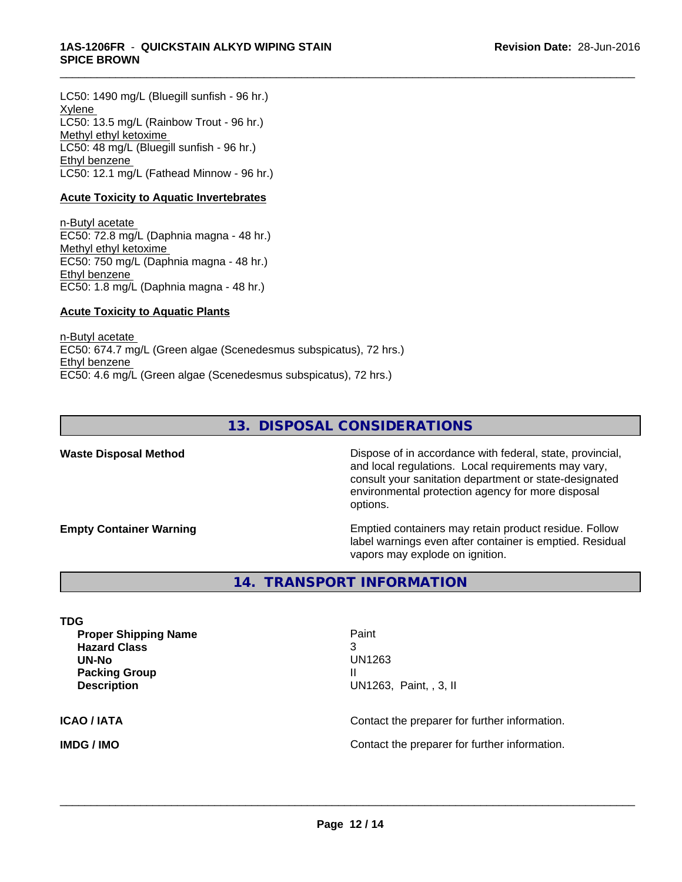LC50: 1490 mg/L (Bluegill sunfish - 96 hr.) Xylene LC50: 13.5 mg/L (Rainbow Trout - 96 hr.) Methyl ethyl ketoxime LC50: 48 mg/L (Bluegill sunfish - 96 hr.) Ethyl benzene LC50: 12.1 mg/L (Fathead Minnow - 96 hr.)

#### **Acute Toxicity to Aquatic Invertebrates**

n-Butyl acetate EC50: 72.8 mg/L (Daphnia magna - 48 hr.) Methyl ethyl ketoxime EC50: 750 mg/L (Daphnia magna - 48 hr.) Ethyl benzene EC50: 1.8 mg/L (Daphnia magna - 48 hr.)

#### **Acute Toxicity to Aquatic Plants**

n-Butyl acetate EC50: 674.7 mg/L (Green algae (Scenedesmus subspicatus), 72 hrs.) Ethyl benzene EC50: 4.6 mg/L (Green algae (Scenedesmus subspicatus), 72 hrs.)

# **13. DISPOSAL CONSIDERATIONS**

\_\_\_\_\_\_\_\_\_\_\_\_\_\_\_\_\_\_\_\_\_\_\_\_\_\_\_\_\_\_\_\_\_\_\_\_\_\_\_\_\_\_\_\_\_\_\_\_\_\_\_\_\_\_\_\_\_\_\_\_\_\_\_\_\_\_\_\_\_\_\_\_\_\_\_\_\_\_\_\_\_\_\_\_\_\_\_\_\_\_\_\_\_

Waste Disposal Method **Dispose of in accordance with federal, state, provincial,** and local regulations. Local requirements may vary, consult your sanitation department or state-designated environmental protection agency for more disposal options.

**Empty Container Warning <b>Emptied** Containers may retain product residue. Follow label warnings even after container is emptied. Residual vapors may explode on ignition.

# **14. TRANSPORT INFORMATION**

| <b>TDG</b><br><b>Proper Shipping Name</b><br><b>Hazard Class</b><br>UN-No<br><b>Packing Group</b> | Paint<br>3<br>UN1263<br>Ш                     |
|---------------------------------------------------------------------------------------------------|-----------------------------------------------|
| <b>Description</b>                                                                                | UN1263, Paint, , 3, II                        |
| <b>ICAO / IATA</b>                                                                                | Contact the preparer for further information. |
| <b>IMDG / IMO</b>                                                                                 | Contact the preparer for further information. |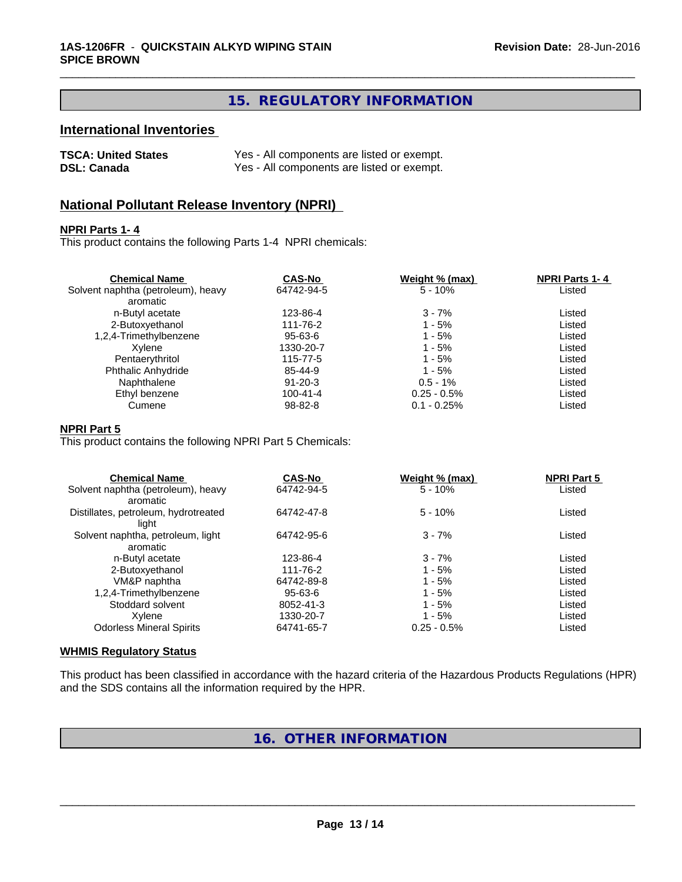# **15. REGULATORY INFORMATION**

\_\_\_\_\_\_\_\_\_\_\_\_\_\_\_\_\_\_\_\_\_\_\_\_\_\_\_\_\_\_\_\_\_\_\_\_\_\_\_\_\_\_\_\_\_\_\_\_\_\_\_\_\_\_\_\_\_\_\_\_\_\_\_\_\_\_\_\_\_\_\_\_\_\_\_\_\_\_\_\_\_\_\_\_\_\_\_\_\_\_\_\_\_

# **International Inventories**

| <b>TSCA: United States</b> | Yes - All components are listed or exempt. |
|----------------------------|--------------------------------------------|
| <b>DSL: Canada</b>         | Yes - All components are listed or exempt. |

# **National Pollutant Release Inventory (NPRI)**

#### **NPRI Parts 1- 4**

This product contains the following Parts 1-4 NPRI chemicals:

| <b>Chemical Name</b>               | <b>CAS-No</b>  | Weight % (max) | <b>NPRI Parts 1-4</b> |  |
|------------------------------------|----------------|----------------|-----------------------|--|
| Solvent naphtha (petroleum), heavy | 64742-94-5     | $5 - 10%$      | Listed                |  |
| aromatic                           |                |                |                       |  |
| n-Butyl acetate                    | 123-86-4       | $3 - 7%$       | Listed                |  |
| 2-Butoxyethanol                    | 111-76-2       | 1 - 5%         | Listed                |  |
| 1,2,4-Trimethylbenzene             | 95-63-6        | 1 - 5%         | Listed                |  |
| Xvlene                             | 1330-20-7      | 1 - 5%         | Listed                |  |
| Pentaerythritol                    | 115-77-5       | 1 - 5%         | Listed                |  |
| Phthalic Anhydride                 | 85-44-9        | $1 - 5%$       | Listed                |  |
| Naphthalene                        | $91 - 20 - 3$  | $0.5 - 1\%$    | Listed                |  |
| Ethyl benzene                      | $100 - 41 - 4$ | $0.25 - 0.5\%$ | Listed                |  |
| Cumene                             | $98 - 82 - 8$  | $0.1 - 0.25%$  | Listed                |  |

#### **NPRI Part 5**

This product contains the following NPRI Part 5 Chemicals:

| <b>CAS-No</b> | Weight % (max) | <b>NPRI Part 5</b> |  |
|---------------|----------------|--------------------|--|
| 64742-94-5    | $5 - 10%$      | Listed             |  |
|               |                |                    |  |
| 64742-47-8    | $5 - 10%$      | Listed             |  |
|               |                |                    |  |
| 64742-95-6    | $3 - 7%$       | Listed             |  |
|               |                |                    |  |
| 123-86-4      | $3 - 7%$       | Listed             |  |
| 111-76-2      | $1 - 5%$       | Listed             |  |
| 64742-89-8    | $1 - 5%$       | Listed             |  |
| $95 - 63 - 6$ | $1 - 5%$       | Listed             |  |
| 8052-41-3     | $1 - 5%$       | Listed             |  |
| 1330-20-7     | $1 - 5%$       | Listed             |  |
| 64741-65-7    | $0.25 - 0.5\%$ | Listed             |  |
|               |                |                    |  |

#### **WHMIS Regulatory Status**

This product has been classified in accordance with the hazard criteria of the Hazardous Products Regulations (HPR) and the SDS contains all the information required by the HPR.

# **16. OTHER INFORMATION**